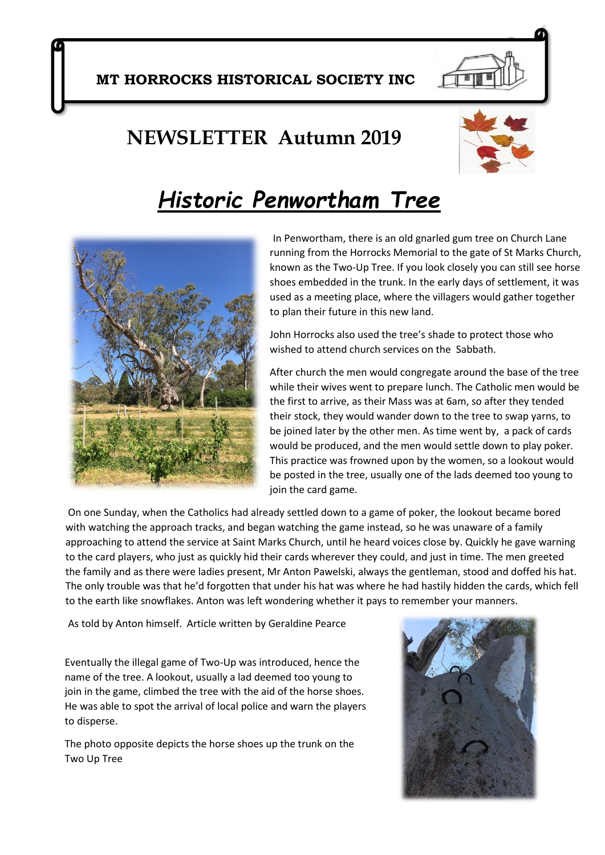### **NEWSLETTER Autumn 2019**



# *Historic Penwortham Tree*



In Penwortham, there is an old gnarled gum tree on Church Lane running from the Horrocks Memorial to the gate of St Marks Church, known as the Two-Up Tree. If you look closely you can still see horse shoes embedded in the trunk. In the early days of settlement, it was used as a meeting place, where the villagers would gather together to plan their future in this new land.

John Horrocks also used the tree's shade to protect those who wished to attend church services on the Sabbath.

After church the men would congregate around the base of the tree while their wives went to prepare lunch. The Catholic men would be the first to arrive, as their Mass was at 6am, so after they tended their stock, they would wander down to the tree to swap yarns, to be joined later by the other men. As time went by, a pack of cards would be produced, and the men would settle down to play poker. This practice was frowned upon by the women, so a lookout would be posted in the tree, usually one of the lads deemed too young to join the card game.

On one Sunday, when the Catholics had already settled down to a game of poker, the lookout became bored with watching the approach tracks, and began watching the game instead, so he was unaware of a family approaching to attend the service at Saint Marks Church, until he heard voices close by. Quickly he gave warning to the card players, who just as quickly hid their cards wherever they could, and just in time. The men greeted the family and as there were ladies present, Mr Anton Pawelski, always the gentleman, stood and doffed his hat. The only trouble was that he'd forgotten that under his hat was where he had hastily hidden the cards, which fell to the earth like snowflakes. Anton was left wondering whether it pays to remember your manners.

As told by Anton himself. Article written by Geraldine Pearce

Eventually the illegal game of Two-Up was introduced, hence the name of the tree. A lookout, usually a lad deemed too young to join in the game, climbed the tree with the aid of the horse shoes. He was able to spot the arrival of local police and warn the players to disperse.

The photo opposite depicts the horse shoes up the trunk on the Two Up Tree

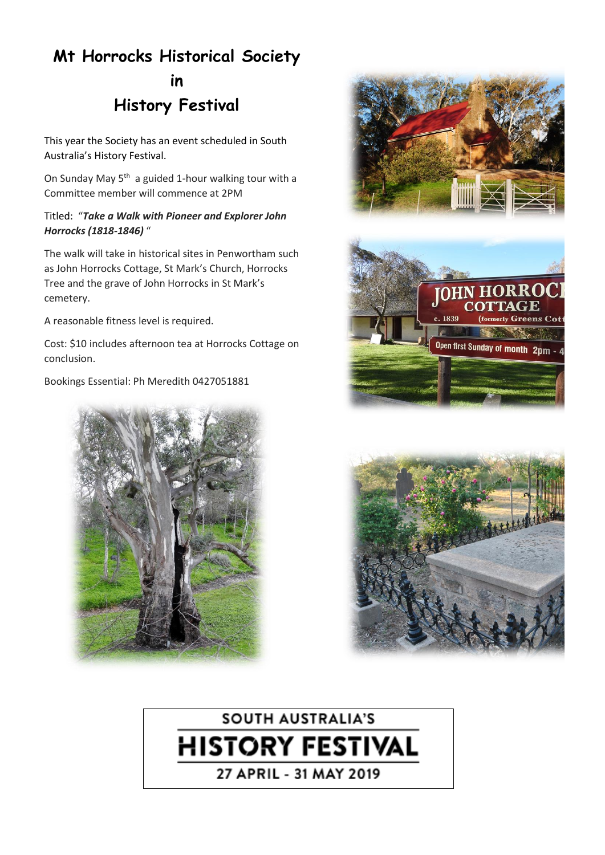## **Mt Horrocks Historical Society in History Festival**

This year the Society has an event scheduled in South Australia's History Festival.

On Sunday May 5<sup>th</sup> a guided 1-hour walking tour with a Committee member will commence at 2PM

#### Titled: "*Take a Walk with Pioneer and Explorer John Horrocks (1818-1846)* "

The walk will take in historical sites in Penwortham such as John Horrocks Cottage, St Mark's Church, Horrocks Tree and the grave of John Horrocks in St Mark's cemetery.

A reasonable fitness level is required.

Cost: \$10 includes afternoon tea at Horrocks Cottage on conclusion.

Bookings Essential: Ph Meredith 0427051881











27 APRIL - 31 MAY 2019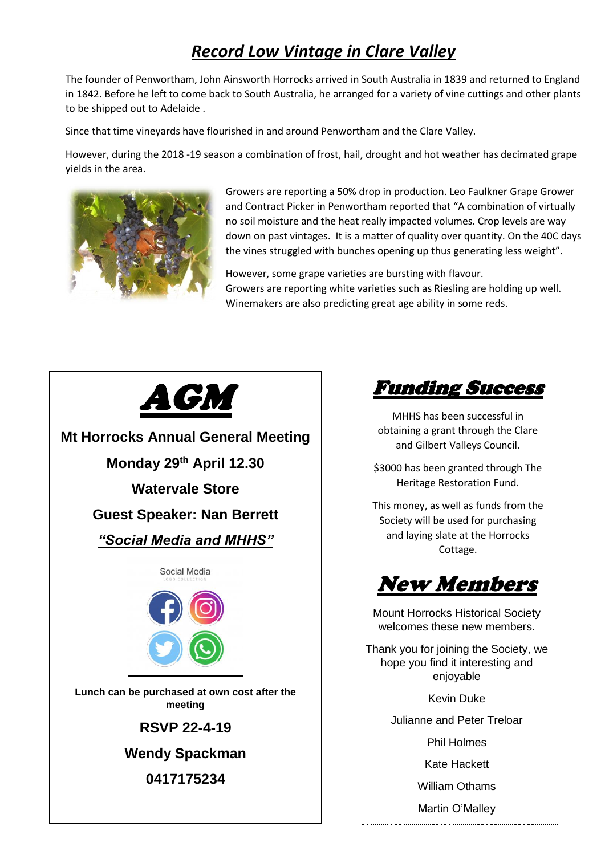### *Record Low Vintage in Clare Valley*

The founder of Penwortham, John Ainsworth Horrocks arrived in South Australia in 1839 and returned to England in 1842. Before he left to come back to South Australia, he arranged for a variety of vine cuttings and other plants to be shipped out to Adelaide .

Since that time vineyards have flourished in and around Penwortham and the Clare Valley.

However, during the 2018 -19 season a combination of frost, hail, drought and hot weather has decimated grape yields in the area.



Growers are reporting a 50% drop in production. Leo Faulkner Grape Grower and Contract Picker in Penwortham reported that "A combination of virtually no soil moisture and the heat really impacted volumes. Crop levels are way down on past vintages. It is a matter of quality over quantity. On the 40C days the vines struggled with bunches opening up thus generating less weight".

However, some grape varieties are bursting with flavour. Growers are reporting white varieties such as Riesling are holding up well. Winemakers are also predicting great age ability in some reds.



Funding Success

MHHS has been successful in obtaining a grant through the Clare and Gilbert Valleys Council.

\$3000 has been granted through The Heritage Restoration Fund.

This money, as well as funds from the Society will be used for purchasing and laying slate at the Horrocks Cottage.

New Members

Mount Horrocks Historical Society welcomes these new members.

Thank you for joining the Society, we hope you find it interesting and enjoyable

Kevin Duke

Julianne and Peter Treloar

Phil Holmes

Kate Hackett

William Othams

Martin O'Malley